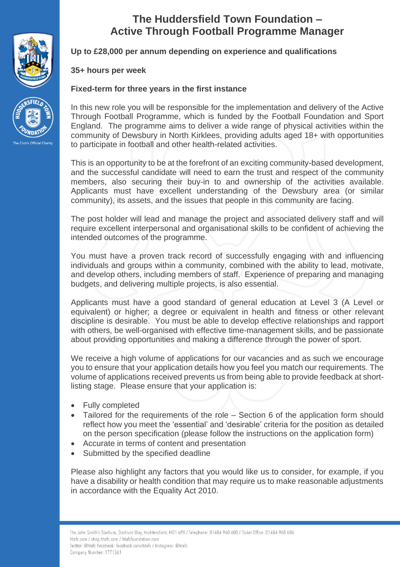



# **The Huddersfield Town Foundation – Active Through Football Programme Manager**

**Up to £28,000 per annum depending on experience and qualifications**

# **35+ hours per week**

# **Fixed-term for three years in the first instance**

In this new role you will be responsible for the implementation and delivery of the Active Through Football Programme, which is funded by the Football Foundation and Sport England. The programme aims to deliver a wide range of physical activities within the community of Dewsbury in North Kirklees, providing adults aged 18+ with opportunities to participate in football and other health-related activities.

This is an opportunity to be at the forefront of an exciting community-based development, and the successful candidate will need to earn the trust and respect of the community members, also securing their buy-in to and ownership of the activities available. Applicants must have excellent understanding of the Dewsbury area (or similar community), its assets, and the issues that people in this community are facing.

The post holder will lead and manage the project and associated delivery staff and will require excellent interpersonal and organisational skills to be confident of achieving the intended outcomes of the programme.

You must have a proven track record of successfully engaging with and influencing individuals and groups within a community, combined with the ability to lead, motivate, and develop others, including members of staff. Experience of preparing and managing budgets, and delivering multiple projects, is also essential.

Applicants must have a good standard of general education at Level 3 (A Level or equivalent) or higher; a degree or equivalent in health and fitness or other relevant discipline is desirable. You must be able to develop effective relationships and rapport with others, be well-organised with effective time-management skills, and be passionate about providing opportunities and making a difference through the power of sport.

We receive a high volume of applications for our vacancies and as such we encourage you to ensure that your application details how you feel you match our requirements. The volume of applications received prevents us from being able to provide feedback at shortlisting stage. Please ensure that your application is:

- Fully completed
- Tailored for the requirements of the role Section 6 of the application form should reflect how you meet the 'essential' and 'desirable' criteria for the position as detailed on the person specification (please follow the instructions on the application form)
- Accurate in terms of content and presentation
- Submitted by the specified deadline

Please also highlight any factors that you would like us to consider, for example, if you have a disability or health condition that may require us to make reasonable adjustments in accordance with the Equality Act 2010.